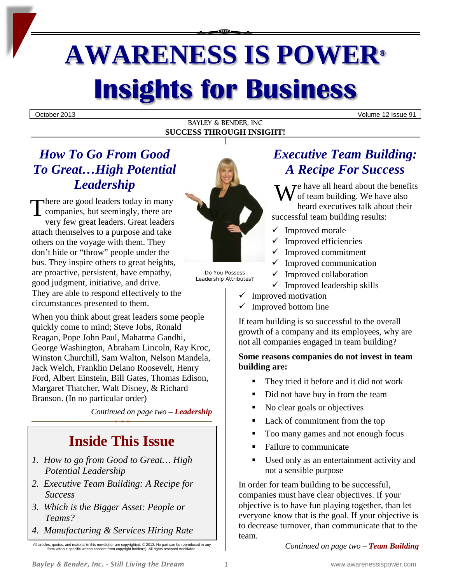# **AWARENESS IS POWER® Insights for Business**

October 2013 Volume 12 Issue 91

#### BAYLEY & BENDER, INC **SUCCESS THROUGH INSIGHT!**

## *How To Go From Good To Great…High Potential Leadership*

here are good leaders today in many Leadership<br>
There are good leaders today in many<br>
companies, but seemingly, there are<br>
very four great leaders. Great leaders very few great leaders. Great leaders attach themselves to a purpose and take others on the voyage with them. They don't hide or "throw" people under the bus. They inspire others to great heights, are proactive, persistent, have empathy, good judgment, initiative, and drive. They are able to respond effectively to the circumstances presented to them.

When you think about great leaders some people quickly come to mind; Steve Jobs, Ronald Reagan, Pope John Paul, Mahatma Gandhi, George Washington, Abraham Lincoln, Ray Kroc, Winston Churchill, Sam Walton, Nelson Mandela, Jack Welch, Franklin Delano Roosevelt, Henry Ford, Albert Einstein, Bill Gates, Thomas Edison, Margaret Thatcher, Walt Disney, & Richard Branson. (In no particular order)

*Continued on page two – Leadership*

# **Inside This Issue**

- *1. How to go from Good to Great… High Potential Leadership*
- *2. Executive Team Building: A Recipe for Success*
- *3. Which is the Bigger Asset: People or Teams?*
- *4. Manufacturing & Services Hiring Rate*

All articles, quotes, and material in this newsletter are copyrighted. © 2013. No part can be reproduced in any form without specific written consent from copyright holder(s). All rights reserved worldwide.



Do You Possess Leadership Attributes?

# *Executive Team Building: A Recipe For Success*

 $\sum$   $\sum$   $\sum$   $\sum$  have all heard about the benefits of team building. We have also heard executives talk about their successful team building results:

- $\checkmark$  Improved morale
- $\checkmark$  Improved efficiencies
- $\checkmark$  Improved commitment
- Improved communication
- $\checkmark$  Improved collaboration
- $\checkmark$  Improved leadership skills
- Improved motivation
- $\checkmark$  Improved bottom line

If team building is so successful to the overall growth of a company and its employees, why are not all companies engaged in team building?

#### **Some reasons companies do not invest in team building are:**

- They tried it before and it did not work
- Did not have buy in from the team
- No clear goals or objectives
- Lack of commitment from the top
- Too many games and not enough focus
- Failure to communicate
- Used only as an entertainment activity and not a sensible purpose

In order for team building to be successful, companies must have clear objectives. If your objective is to have fun playing together, than let everyone know that is the goal. If your objective is to decrease turnover, than communicate that to the team.

*Continued on page two – Team Building*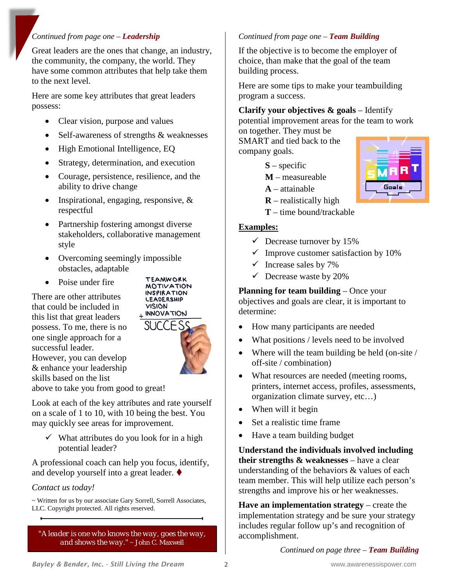#### *Continued from page one – Leadership*

Great leaders are the ones that change, an industry, the community, the company, the world. They have some common attributes that help take them to the next level.

Here are some key attributes that great leaders possess:

- Clear vision, purpose and values
- Self-awareness of strengths & weaknesses
- High Emotional Intelligence, EQ
- Strategy, determination, and execution
- Courage, persistence, resilience, and the ability to drive change
- Inspirational, engaging, responsive, & respectful
- Partnership fostering amongst diverse stakeholders, collaborative management style
- Overcoming seemingly impossible obstacles, adaptable
- Poise under fire

There are other attributes that could be included in this list that great leaders possess. To me, there is no one single approach for a successful leader. However, you can develop & enhance your leadership skills based on the list



**TEAMWORK** 

above to take you from good to great!

Look at each of the key attributes and rate yourself on a scale of 1 to 10, with 10 being the best. You may quickly see areas for improvement.

 $\checkmark$  What attributes do you look for in a high potential leader?

A professional coach can help you focus, identify, and develop yourself into a great leader.

#### *Contact us today!*

~ Written for us by our associate Gary Sorrell, Sorrell Associates, LLC. Copyright protected. All rights reserved.

*"A leader is one who knows the way, goes the way, and shows the way."* ~ John C. Maxwell

#### *Continued from page one – Team Building*

If the objective is to become the employer of choice, than make that the goal of the team building process.

Here are some tips to make your teambuilding program a success.

## **Clarify your objectives & goals** – Identify

potential improvement areas for the team to work on together. They must be

Goals

SMART and tied back to the company goals.

- **S** specific
- **M** measureable
- **A**  attainable
- **R** realistically high
- **T** time bound/trackable

#### **Examples:**

- $\checkmark$  Decrease turnover by 15%
- $\checkmark$  Improve customer satisfaction by 10%
- $\checkmark$  Increase sales by 7%
- $\checkmark$  Decrease waste by 20%

#### **Planning for team building** – Once your objectives and goals are clear, it is important to determine:

- How many participants are needed
- What positions / levels need to be involved
- Where will the team building be held (on-site / off-site / combination)
- What resources are needed (meeting rooms, printers, internet access, profiles, assessments, organization climate survey, etc…)
- When will it begin
- Set a realistic time frame
- Have a team building budget

**Understand the individuals involved including their strengths & weaknesses** – have a clear understanding of the behaviors & values of each team member. This will help utilize each person's strengths and improve his or her weaknesses.

**Have an implementation strategy** – create the implementation strategy and be sure your strategy includes regular follow up's and recognition of accomplishment.

*Continued on page three – Team Building*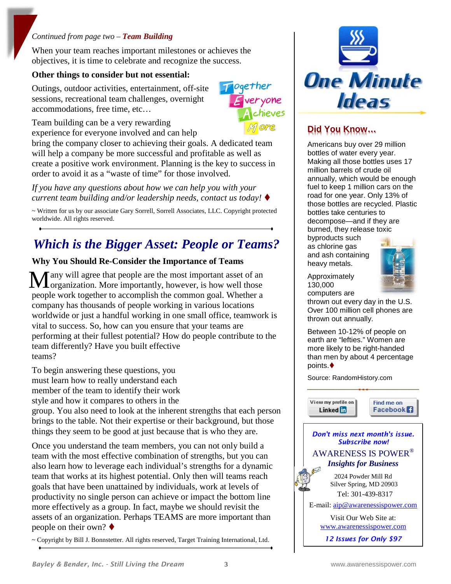#### *Continued from page two – Team Building*

When your team reaches important milestones or achieves the objectives, it is time to celebrate and recognize the success.

#### **Other things to consider but not essential:**

Outings, outdoor activities, entertainment, off-site sessions, recreational team challenges, overnight accommodations, free time, etc…



Team building can be a very rewarding experience for everyone involved and can help

bring the company closer to achieving their goals. A dedicated team will help a company be more successful and profitable as well as create a positive work environment. Planning is the key to success in order to avoid it as a "waste of time" for those involved.

*If you have any questions about how we can help you with your current team building and/or leadership needs, contact us today!*

~ Written for us by our associate Gary Sorrell, Sorrell Associates, LLC. Copyright protected worldwide. All rights reserved.

# *Which is the Bigger Asset: People or Teams?*

#### **Why You Should Re-Consider the Importance of Teams**

any will agree that people are the most important asset of an Many will agree that people are the most important asset of an organization. More importantly, however, is how well those people work together to accomplish the common goal. Whether a company has thousands of people working in various locations worldwide or just a handful working in one small office, teamwork is vital to success. So, how can you ensure that your teams are performing at their fullest potential? How do people contribute to the team differently? Have you built effective teams?

To begin answering these questions, you must learn how to really understand each member of the team to identify their work style and how it compares to others in the

group. You also need to look at the inherent strengths that each person brings to the table. Not their expertise or their background, but those things they seem to be good at just because that is who they are.

Once you understand the team members, you can not only build a team with the most effective combination of strengths, but you can also learn how to leverage each individual's strengths for a dynamic team that works at its highest potential. Only then will teams reach goals that have been unattained by individuals, work at levels of productivity no single person can achieve or impact the bottom line more effectively as a group. In fact, maybe we should revisit the assets of an organization. Perhaps TEAMS are more important than people on their own?  $\blacklozenge$ 

~ Copyright by Bill J. Bonnstetter. All rights reserved, Target Training International, Ltd.



## **Did You Know…**

Americans buy over 29 million bottles of water every year. Making all those bottles uses 17 million barrels of crude oil annually, which would be enough fuel to keep 1 million cars on the road for one year. Only 13% of those bottles are recycled. Plastic bottles take centuries to decompose—and if they are burned, they release toxic byproducts such as chlorine gas

and ash containing heavy metals.



Approximately 130,000 computers are

thrown out every day in the U.S. Over 100 million cell phones are thrown out annually.

Between 10-12% of people on earth are "lefties." Women are more likely to be right-handed than men by about 4 percentage points.

Source: RandomHistory.com



Find me on Facebook<sup>1</sup>